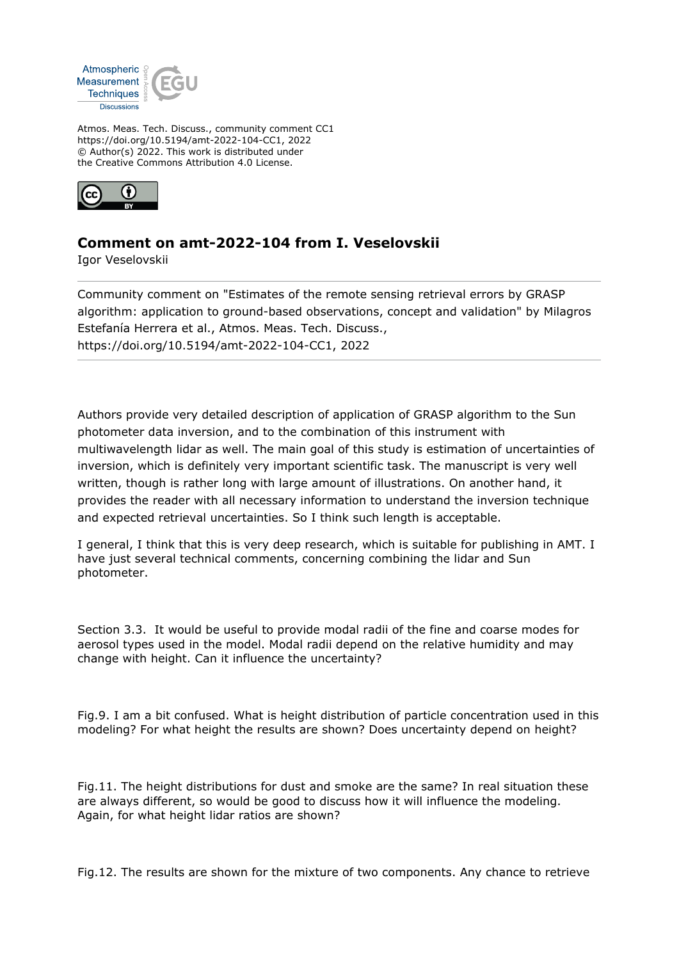

Atmos. Meas. Tech. Discuss., community comment CC1 https://doi.org/10.5194/amt-2022-104-CC1, 2022 © Author(s) 2022. This work is distributed under the Creative Commons Attribution 4.0 License.



## **Comment on amt-2022-104 from I. Veselovskii**

Igor Veselovskii

Community comment on "Estimates of the remote sensing retrieval errors by GRASP algorithm: application to ground-based observations, concept and validation" by Milagros Estefanía Herrera et al., Atmos. Meas. Tech. Discuss., https://doi.org/10.5194/amt-2022-104-CC1, 2022

Authors provide very detailed description of application of GRASP algorithm to the Sun photometer data inversion, and to the combination of this instrument with multiwavelength lidar as well. The main goal of this study is estimation of uncertainties of inversion, which is definitely very important scientific task. The manuscript is very well written, though is rather long with large amount of illustrations. On another hand, it provides the reader with all necessary information to understand the inversion technique and expected retrieval uncertainties. So I think such length is acceptable.

I general, I think that this is very deep research, which is suitable for publishing in AMT. I have just several technical comments, concerning combining the lidar and Sun photometer.

Section 3.3. It would be useful to provide modal radii of the fine and coarse modes for aerosol types used in the model. Modal radii depend on the relative humidity and may change with height. Can it influence the uncertainty?

Fig.9. I am a bit confused. What is height distribution of particle concentration used in this modeling? For what height the results are shown? Does uncertainty depend on height?

Fig.11. The height distributions for dust and smoke are the same? In real situation these are always different, so would be good to discuss how it will influence the modeling. Again, for what height lidar ratios are shown?

Fig.12. The results are shown for the mixture of two components. Any chance to retrieve